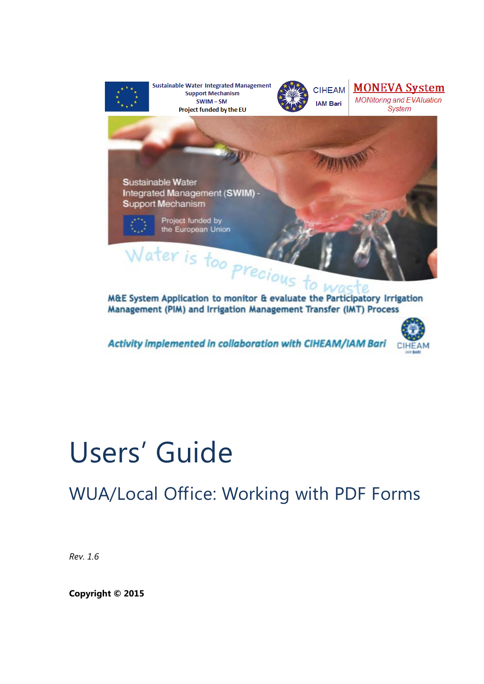

**Sustainable Water Integrated Management Support Mechanism**  $SWIM-SM$ Project funded by the EU



**CIHEAM IAM Bari** 



**Sustainable Water** Integrated Management (SWIM) Support Mechanism

> Project funded by the European Union

Water is too precious to M&E System Application to monitor & evaluate the Participatory Irrigation Management (PIM) and Irrigation Management Transfer (IMT) Process

Activity implemented in collaboration with CIHEAM/IAM Bari



# Users' Guide

WUA/Local Office: Working with PDF Forms

*Rev. 1.6* 

**Copyright © 2015**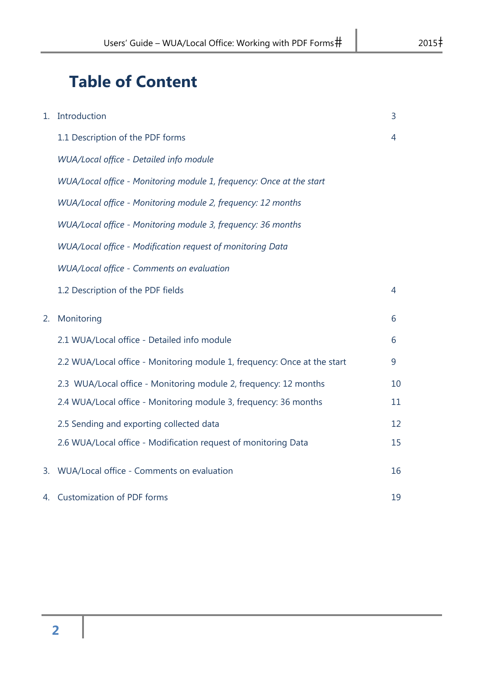# **Table of Content**

| 1. | Introduction                                                             | 3  |
|----|--------------------------------------------------------------------------|----|
|    | 1.1 Description of the PDF forms                                         | 4  |
|    | WUA/Local office - Detailed info module                                  |    |
|    | WUA/Local office - Monitoring module 1, frequency: Once at the start     |    |
|    | WUA/Local office - Monitoring module 2, frequency: 12 months             |    |
|    | WUA/Local office - Monitoring module 3, frequency: 36 months             |    |
|    | WUA/Local office - Modification request of monitoring Data               |    |
|    | WUA/Local office - Comments on evaluation                                |    |
|    | 1.2 Description of the PDF fields                                        | 4  |
| 2. | Monitoring                                                               | 6  |
|    | 2.1 WUA/Local office - Detailed info module                              | 6  |
|    | 2.2 WUA/Local office - Monitoring module 1, frequency: Once at the start | 9  |
|    | 2.3 WUA/Local office - Monitoring module 2, frequency: 12 months         | 10 |
|    | 2.4 WUA/Local office - Monitoring module 3, frequency: 36 months         | 11 |
|    | 2.5 Sending and exporting collected data                                 | 12 |
|    | 2.6 WUA/Local office - Modification request of monitoring Data           | 15 |
| 3. | WUA/Local office - Comments on evaluation                                | 16 |
|    | 4. Customization of PDF forms                                            | 19 |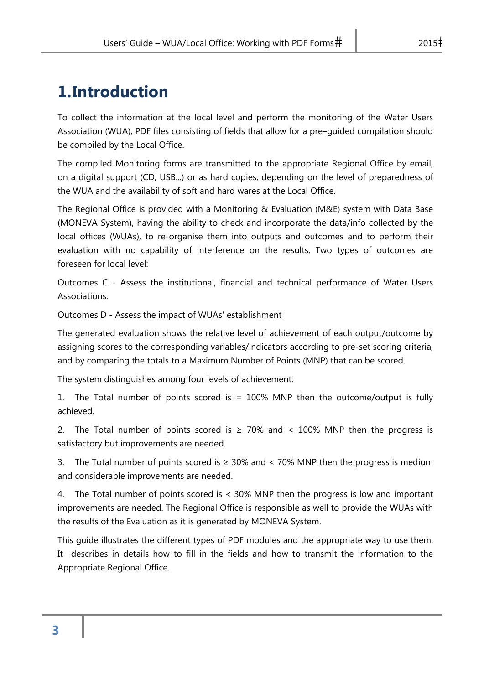# **1.Introduction**

To collect the information at the local level and perform the monitoring of the Water Users Association (WUA), PDF files consisting of fields that allow for a pre–guided compilation should be compiled by the Local Office.

The compiled Monitoring forms are transmitted to the appropriate Regional Office by email, on a digital support (CD, USB...) or as hard copies, depending on the level of preparedness of the WUA and the availability of soft and hard wares at the Local Office.

The Regional Office is provided with a Monitoring & Evaluation (M&E) system with Data Base (MONEVA System), having the ability to check and incorporate the data/info collected by the local offices (WUAs), to re-organise them into outputs and outcomes and to perform their evaluation with no capability of interference on the results. Two types of outcomes are foreseen for local level:

Outcomes C - Assess the institutional, financial and technical performance of Water Users Associations.

Outcomes D - Assess the impact of WUAs' establishment

The generated evaluation shows the relative level of achievement of each output/outcome by assigning scores to the corresponding variables/indicators according to pre-set scoring criteria, and by comparing the totals to a Maximum Number of Points (MNP) that can be scored.

The system distinguishes among four levels of achievement:

1. The Total number of points scored is = 100% MNP then the outcome/output is fully achieved.

2. The Total number of points scored is  $\geq$  70% and < 100% MNP then the progress is satisfactory but improvements are needed.

3. The Total number of points scored is  $\geq$  30% and < 70% MNP then the progress is medium and considerable improvements are needed.

4. The Total number of points scored is < 30% MNP then the progress is low and important improvements are needed. The Regional Office is responsible as well to provide the WUAs with the results of the Evaluation as it is generated by MONEVA System.

This guide illustrates the different types of PDF modules and the appropriate way to use them. It describes in details how to fill in the fields and how to transmit the information to the Appropriate Regional Office.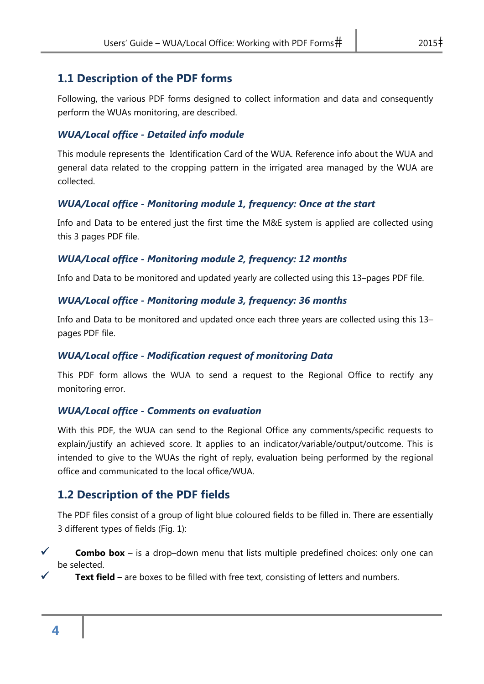#### **1.1 Description of the PDF forms**

Following, the various PDF forms designed to collect information and data and consequently perform the WUAs monitoring, are described.

#### *WUA/Local office - Detailed info module*

This module represents the Identification Card of the WUA. Reference info about the WUA and general data related to the cropping pattern in the irrigated area managed by the WUA are collected.

#### *WUA/Local office - Monitoring module 1, frequency: Once at the start*

Info and Data to be entered just the first time the M&E system is applied are collected using this 3 pages PDF file.

#### *WUA/Local office - Monitoring module 2, frequency: 12 months*

Info and Data to be monitored and updated yearly are collected using this 13–pages PDF file.

#### *WUA/Local office - Monitoring module 3, frequency: 36 months*

Info and Data to be monitored and updated once each three years are collected using this 13– pages PDF file.

#### *WUA/Local office - Modification request of monitoring Data*

This PDF form allows the WUA to send a request to the Regional Office to rectify any monitoring error.

#### *WUA/Local office - Comments on evaluation*

With this PDF, the WUA can send to the Regional Office any comments/specific requests to explain/justify an achieved score. It applies to an indicator/variable/output/outcome. This is intended to give to the WUAs the right of reply, evaluation being performed by the regional office and communicated to the local office/WUA.

#### **1.2 Description of the PDF fields**

The PDF files consist of a group of light blue coloured fields to be filled in. There are essentially 3 different types of fields (Fig. 1):

**Combo box** – is a drop–down menu that lists multiple predefined choices: only one can be selected.

**Text field** – are boxes to be filled with free text, consisting of letters and numbers.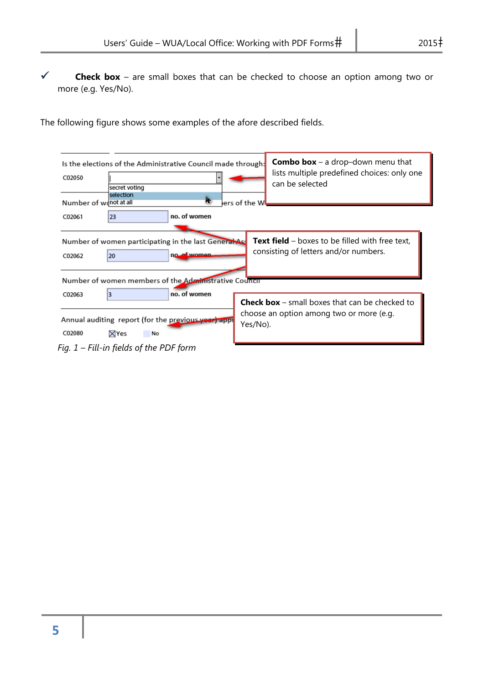**Check box** – are small boxes that can be checked to choose an option among two or more (e.g. Yes/No).

The following figure shows some examples of the afore described fields.

| Is the elections of the Administrative Council made through:<br>C02050<br>secret voting<br>selection | <b>Combo box</b> – a drop-down menu that<br>lists multiple predefined choices: only one<br>can be selected |
|------------------------------------------------------------------------------------------------------|------------------------------------------------------------------------------------------------------------|
| h.<br>Number of wonot at all                                                                         | lers of the Wl                                                                                             |
| no. of women<br>23<br>C02061                                                                         |                                                                                                            |
|                                                                                                      |                                                                                                            |
| Number of women participating in the last General Ass<br>no of women<br>C02062<br>20                 | <b>Text field</b> – boxes to be filled with free text,<br>consisting of letters and/or numbers.            |
| Number of women members of the Administrative Council                                                |                                                                                                            |
| no. of women<br>3<br>C02063                                                                          | <b>Check box</b> – small boxes that can be checked to                                                      |
| Annual auditing report (for the previous year) appl<br>C02080<br>$\boxtimes$ Yes<br>No               | choose an option among two or more (e.g.<br>Yes/No).                                                       |
| Fig. 1 – Fill-in fields of the PDF form                                                              |                                                                                                            |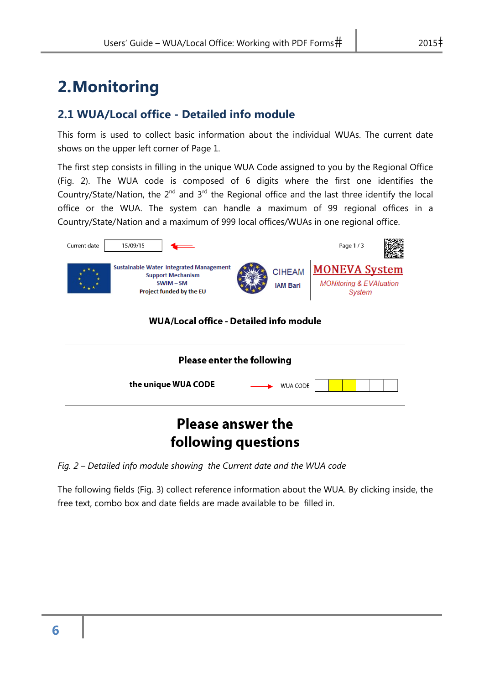# **2.Monitoring**

#### **2.1 WUA/Local office - Detailed info module**

This form is used to collect basic information about the individual WUAs. The current date shows on the upper left corner of Page 1.

The first step consists in filling in the unique WUA Code assigned to you by the Regional Office (Fig. 2). The WUA code is composed of 6 digits where the first one identifies the Country/State/Nation, the  $2^{nd}$  and  $3^{rd}$  the Regional office and the last three identify the local office or the WUA. The system can handle a maximum of 99 regional offices in a Country/State/Nation and a maximum of 999 local offices/WUAs in one regional office.



## **Please answer the** following questions

*Fig. 2 – Detailed info module showing the Current date and the WUA code* 

The following fields (Fig. 3) collect reference information about the WUA. By clicking inside, the free text, combo box and date fields are made available to be filled in.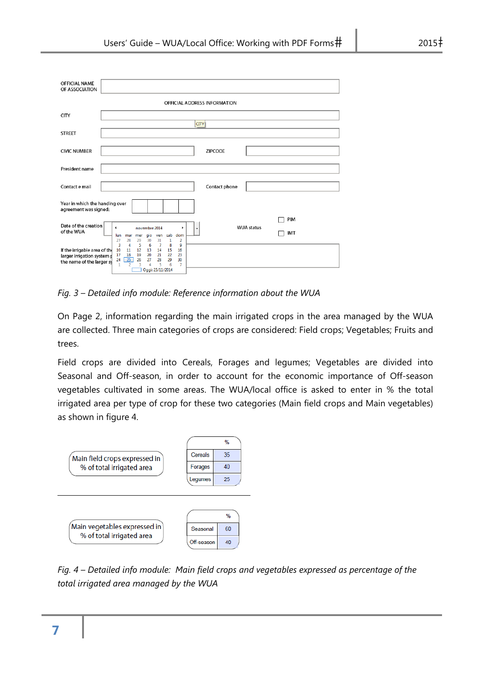| <b>OFFICIAL NAME</b><br>OF ASSOCIATION                                                  |                                                                                                                                                                                                                                                    |
|-----------------------------------------------------------------------------------------|----------------------------------------------------------------------------------------------------------------------------------------------------------------------------------------------------------------------------------------------------|
|                                                                                         | OFFICIAL ADDRESS INFORMATION                                                                                                                                                                                                                       |
| <b>CITY</b>                                                                             |                                                                                                                                                                                                                                                    |
| <b>STREET</b>                                                                           | <b>CITY</b>                                                                                                                                                                                                                                        |
| <b>CIVIC NUMBER</b>                                                                     | <b>ZIPCODE</b>                                                                                                                                                                                                                                     |
| President name                                                                          |                                                                                                                                                                                                                                                    |
| Contact e mail                                                                          | Contact phone                                                                                                                                                                                                                                      |
| Year in which the handing over<br>agreement was signed:                                 |                                                                                                                                                                                                                                                    |
| Date of the creation<br>of the WUA                                                      | PIM<br><b>WUA status</b><br>novembre 2014<br>$\blacktriangleleft$<br>٠<br>IMT<br>gio<br>sab<br>dom<br>lun<br>mar<br>ven<br>mer<br>31<br>27<br>28<br>29<br>30<br>1<br>2                                                                             |
| If the irrigable area of the<br>larger irrigation system p<br>the name of the larger sy | 6<br>8<br>3<br>4<br>5<br>$\overline{7}$<br>9<br>12<br>14<br>10<br>13<br>15<br>11<br>16<br>21<br>22<br>19<br>20<br>17<br>18<br>23<br>25<br>28<br>29<br>27<br>24<br>26<br>30<br>$\mathbf{1}$<br>$\overline{2}$<br>6<br>3<br>5<br>$\overline{7}$<br>4 |

*Fig. 3 – Detailed info module: Reference information about the WUA* 

Oggi: 25/11/2014

On Page 2, information regarding the main irrigated crops in the area managed by the WUA are collected. Three main categories of crops are considered: Field crops; Vegetables; Fruits and trees.

Field crops are divided into Cereals, Forages and legumes; Vegetables are divided into Seasonal and Off-season, in order to account for the economic importance of Off-season vegetables cultivated in some areas. The WUA/local office is asked to enter in % the total irrigated area per type of crop for these two categories (Main field crops and Main vegetables) as shown in figure 4.



*Fig. 4 – Detailed info module: Main field crops and vegetables expressed as percentage of the total irrigated area managed by the WUA*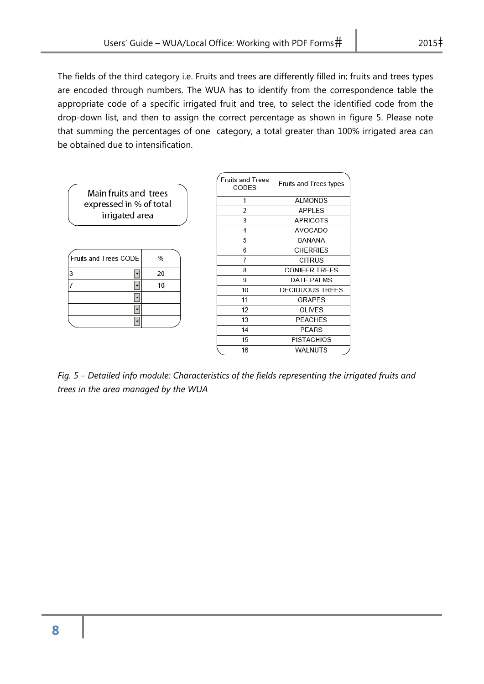The fields of the third category i.e. Fruits and trees are differently filled in; fruits and trees types are encoded through numbers. The WUA has to identify from the correspondence table the appropriate code of a specific irrigated fruit and tree, to select the identified code from the drop-down list, and then to assign the correct percentage as shown in figure 5. Please note that summing the percentages of one category, a total greater than 100% irrigated area can be obtained due to intensification.

| Main fruits and trees   |    | <b>Fruits and Trees</b><br>CODES | Fruits and Trees types |
|-------------------------|----|----------------------------------|------------------------|
| expressed in % of total |    | 1                                | <b>ALMONDS</b>         |
| irrigated area          |    | 2                                | <b>APPLES</b>          |
|                         |    | 3                                | <b>APRICOTS</b>        |
|                         |    | 4                                | AVOCADO                |
|                         |    | 5                                | BANANA                 |
|                         |    | 6                                | <b>CHERRIES</b>        |
| Fruits and Trees CODE   | %  |                                  | <b>CITRUS</b>          |
| 3                       | 20 | 8                                | <b>CONIFER TREES</b>   |
|                         |    | 9                                | <b>DATE PALMS</b>      |
|                         | 10 | 10                               | <b>DECIDUOUS TREES</b> |
|                         |    | 11                               | <b>GRAPES</b>          |
|                         |    | 12                               | <b>OLIVES</b>          |
| ٠                       |    | 13                               | <b>PEACHES</b>         |
|                         |    | 14                               | <b>PEARS</b>           |
|                         |    | 15                               | <b>PISTACHIOS</b>      |

*Fig. 5 – Detailed info module: Characteristics of the fields representing the irrigated fruits and trees in the area managed by the WUA* 

16

WALNUTS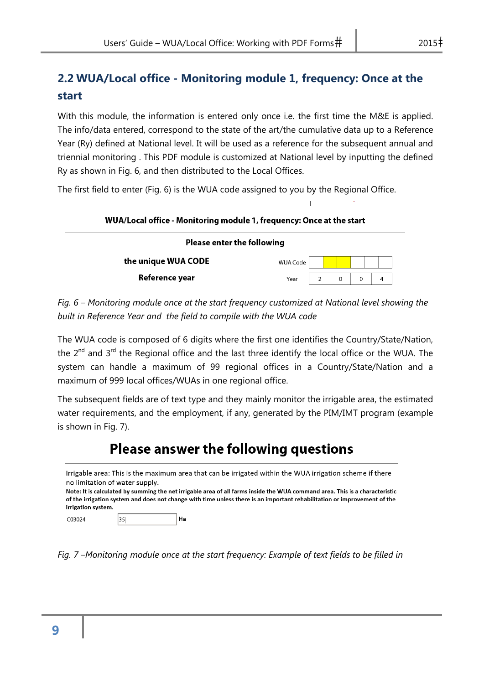#### **2.2 WUA/Local office - Monitoring module 1, frequency: Once at the start**

With this module, the information is entered only once i.e. the first time the M&E is applied. The info/data entered, correspond to the state of the art/the cumulative data up to a Reference Year (Ry) defined at National level. It will be used as a reference for the subsequent annual and triennial monitoring . This PDF module is customized at National level by inputting the defined Ry as shown in Fig. 6, and then distributed to the Local Offices.

The first field to enter (Fig. 6) is the WUA code assigned to you by the Regional Office.

| WUA/Local office - Monitoring module 1, frequency: Once at the start |                 |  |          |   |   |  |  |  |
|----------------------------------------------------------------------|-----------------|--|----------|---|---|--|--|--|
| <b>Please enter the following</b>                                    |                 |  |          |   |   |  |  |  |
| the unique WUA CODE                                                  | <b>WUA Code</b> |  |          |   |   |  |  |  |
| Reference year                                                       | Year            |  | $\Omega$ | 0 | 4 |  |  |  |

*Fig. 6 – Monitoring module once at the start frequency customized at National level showing the built in Reference Year and the field to compile with the WUA code* 

The WUA code is composed of 6 digits where the first one identifies the Country/State/Nation, the 2<sup>nd</sup> and 3<sup>rd</sup> the Regional office and the last three identify the local office or the WUA. The system can handle a maximum of 99 regional offices in a Country/State/Nation and a maximum of 999 local offices/WUAs in one regional office.

The subsequent fields are of text type and they mainly monitor the irrigable area, the estimated water requirements, and the employment, if any, generated by the PIM/IMT program (example is shown in Fig. 7).

### **Please answer the following questions**

Irrigable area: This is the maximum area that can be irrigated within the WUA irrigation scheme if there no limitation of water supply. Note: It is calculated by summing the net irrigable area of all farms inside the WUA command area. This is a characteristic of the irrigation system and does not change with time unless there is an important rehabilitation or improvement of the irrigation system. Ha C03024 35

*Fig. 7 –Monitoring module once at the start frequency: Example of text fields to be filled in*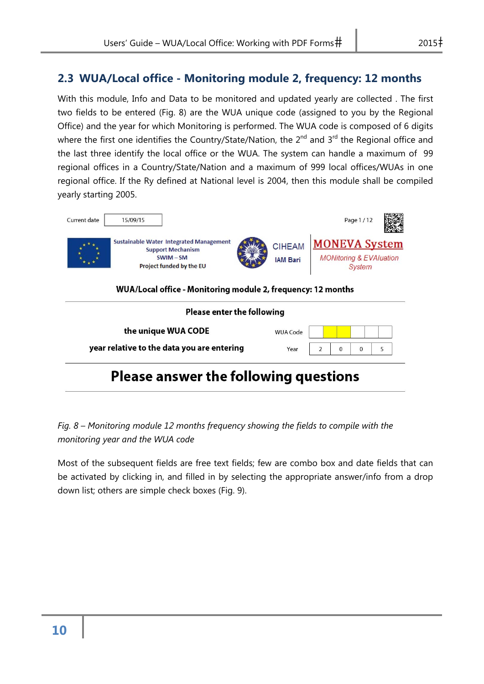#### **2.3 WUA/Local office - Monitoring module 2, frequency: 12 months**

With this module, Info and Data to be monitored and updated yearly are collected . The first two fields to be entered (Fig. 8) are the WUA unique code (assigned to you by the Regional Office) and the year for which Monitoring is performed. The WUA code is composed of 6 digits where the first one identifies the Country/State/Nation, the 2<sup>nd</sup> and 3<sup>rd</sup> the Regional office and the last three identify the local office or the WUA. The system can handle a maximum of 99 regional offices in a Country/State/Nation and a maximum of 999 local offices/WUAs in one regional office. If the Ry defined at National level is 2004, then this module shall be compiled yearly starting 2005.



*Fig. 8 – Monitoring module 12 months frequency showing the fields to compile with the monitoring year and the WUA code* 

Most of the subsequent fields are free text fields; few are combo box and date fields that can be activated by clicking in, and filled in by selecting the appropriate answer/info from a drop down list; others are simple check boxes (Fig. 9).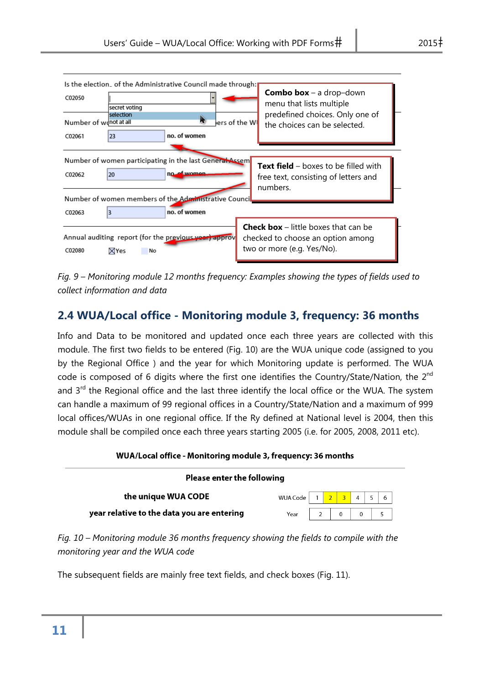| Is the election_ of the Administrative Council made through:<br>C02050                                                                         | <b>Combo box</b> – a drop-down                                                                                   |
|------------------------------------------------------------------------------------------------------------------------------------------------|------------------------------------------------------------------------------------------------------------------|
| secret voting<br>selection<br>Number of wonot at all<br>ш                                                                                      | menu that lists multiple<br>predefined choices. Only one of<br>ers of the Wl<br>the choices can be selected.     |
| no. of women<br>23<br>C02061                                                                                                                   |                                                                                                                  |
| Number of women participating in the last General Assem<br>no of women<br>20<br>C02062<br>Number of women members of the Administrative Counci | <b>Text field</b> – boxes to be filled with<br>free text, consisting of letters and<br>numbers.                  |
| no. of women<br>3<br>C02063                                                                                                                    |                                                                                                                  |
| Annual auditing report (for the previous year) approv<br>C02080<br><b>X</b> Yes<br>No                                                          | <b>Check box</b> $-$ little boxes that can be<br>checked to choose an option among<br>two or more (e.g. Yes/No). |

*Fig. 9 – Monitoring module 12 months frequency: Examples showing the types of fields used to collect information and data* 

#### **2.4 WUA/Local office - Monitoring module 3, frequency: 36 months**

Info and Data to be monitored and updated once each three years are collected with this module. The first two fields to be entered (Fig. 10) are the WUA unique code (assigned to you by the Regional Office ) and the year for which Monitoring update is performed. The WUA code is composed of 6 digits where the first one identifies the Country/State/Nation, the 2<sup>nd</sup> and 3<sup>rd</sup> the Regional office and the last three identify the local office or the WUA. The system can handle a maximum of 99 regional offices in a Country/State/Nation and a maximum of 999 local offices/WUAs in one regional office. If the Ry defined at National level is 2004, then this module shall be compiled once each three years starting 2005 (i.e. for 2005, 2008, 2011 etc).

#### WUA/Local office - Monitoring module 3, frequency: 36 months

| <b>Please enter the following</b>          |                                                                               |  |  |  |                |  |  |  |  |
|--------------------------------------------|-------------------------------------------------------------------------------|--|--|--|----------------|--|--|--|--|
| the unique WUA CODE                        | WUA Code $\begin{array}{ c c c c c c c c c }\n\hline\n1 & 2 & 3\n\end{array}$ |  |  |  | $\overline{4}$ |  |  |  |  |
| year relative to the data you are entering |                                                                               |  |  |  |                |  |  |  |  |

*Fig. 10 – Monitoring module 36 months frequency showing the fields to compile with the monitoring year and the WUA code* 

The subsequent fields are mainly free text fields, and check boxes (Fig. 11).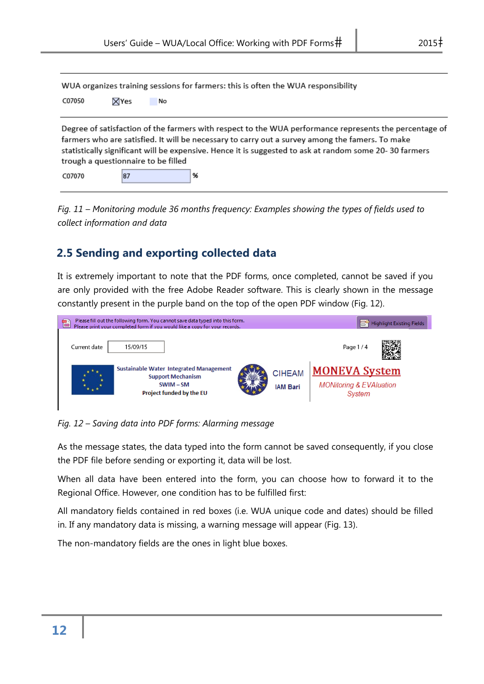WUA organizes training sessions for farmers: this is often the WUA responsibility

| C07050 | ⊠Yes | No |
|--------|------|----|
|        |      |    |

Degree of satisfaction of the farmers with respect to the WUA performance represents the percentage of farmers who are satisfied. It will be necessary to carry out a survey among the famers. To make statistically significant will be expensive. Hence it is suggested to ask at random some 20-30 farmers trough a questionnaire to be filled

C07070 87 %

*Fig. 11 – Monitoring module 36 months frequency: Examples showing the types of fields used to collect information and data* 

#### **2.5 Sending and exporting collected data**

It is extremely important to note that the PDF forms, once completed, cannot be saved if you are only provided with the free Adobe Reader software. This is clearly shown in the message constantly present in the purple band on the top of the open PDF window (Fig. 12).



*Fig. 12 – Saving data into PDF forms: Alarming message* 

As the message states, the data typed into the form cannot be saved consequently, if you close the PDF file before sending or exporting it, data will be lost.

When all data have been entered into the form, you can choose how to forward it to the Regional Office. However, one condition has to be fulfilled first:

All mandatory fields contained in red boxes (i.e. WUA unique code and dates) should be filled in. If any mandatory data is missing, a warning message will appear (Fig. 13).

The non-mandatory fields are the ones in light blue boxes.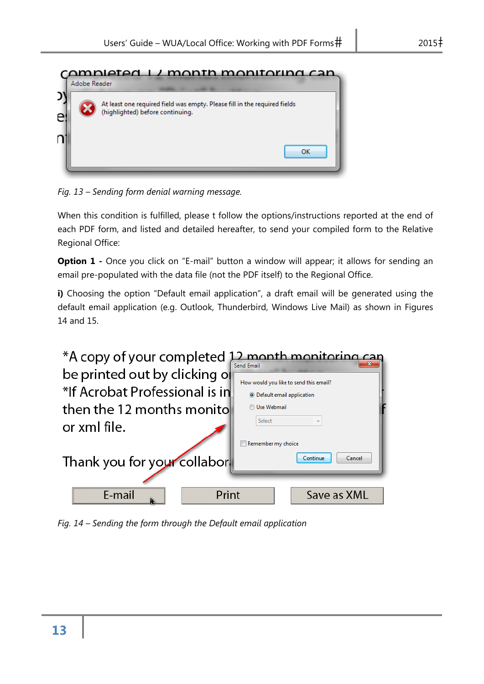

*Fig. 13 – Sending form denial warning message.* 

When this condition is fulfilled, please t follow the options/instructions reported at the end of each PDF form, and listed and detailed hereafter, to send your compiled form to the Relative Regional Office:

**Option 1** - Once you click on "E-mail" button a window will appear; it allows for sending an email pre-populated with the data file (not the PDF itself) to the Regional Office.

**i)** Choosing the option "Default email application", a draft email will be generated using the default email application (e.g. Outlook, Thunderbird, Windows Live Mail) as shown in Figures 14 and 15.



*Fig. 14 – Sending the form through the Default email application*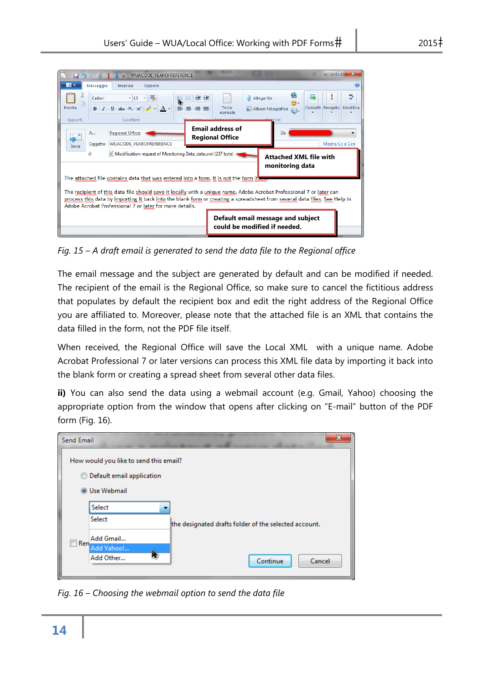| E.<br>ы        |                                |                                | = WUACODE_YEAROFREFERENCE                                                                                                                                                                                                                                                                                                                                                                              |                                                               |                                                   |                     |                   |                               | $\overline{\mathbf{x}}$<br>e  |
|----------------|--------------------------------|--------------------------------|--------------------------------------------------------------------------------------------------------------------------------------------------------------------------------------------------------------------------------------------------------------------------------------------------------------------------------------------------------------------------------------------------------|---------------------------------------------------------------|---------------------------------------------------|---------------------|-------------------|-------------------------------|-------------------------------|
| $\blacksquare$ | Messaggio                      | Inserisci                      | Opzioni                                                                                                                                                                                                                                                                                                                                                                                                |                                                               |                                                   |                     |                   |                               | $\bullet$                     |
| æ              | Calibri                        | $-12$ $-$                      | A                                                                                                                                                                                                                                                                                                                                                                                                      | 使使                                                            |                                                   | ıOI.<br>Allega file |                   | ₩<br>函<br>⊛-                  | ᢞ                             |
| Incolla        | $\mathbf{B}$<br>$\overline{I}$ | U<br>abe $X_2$ $X^2$           | $A$ -                                                                                                                                                                                                                                                                                                                                                                                                  | 亖<br>医<br>≣<br>三                                              | Testo<br>normale                                  |                     | Album fotografico | $\sqrt{2}$                    | Contatti Recapito<br>Modifica |
| Appunti        |                                | Carattere                      |                                                                                                                                                                                                                                                                                                                                                                                                        | $0 - 1 - 1$                                                   |                                                   |                     | Transportis ci    |                               |                               |
| 눈              | A                              | <b>Regional Office:</b>        |                                                                                                                                                                                                                                                                                                                                                                                                        |                                                               | <b>Email address of</b><br><b>Regional Office</b> |                     | Da                |                               |                               |
| Invia          | Oggetto                        | <b>WUACODE YEAROFREFERENCE</b> |                                                                                                                                                                                                                                                                                                                                                                                                        |                                                               |                                                   |                     |                   |                               | Mostra Cc e Ccn               |
|                |                                |                                |                                                                                                                                                                                                                                                                                                                                                                                                        |                                                               |                                                   |                     |                   |                               |                               |
|                | ŧŪ)                            |                                |                                                                                                                                                                                                                                                                                                                                                                                                        | • Modification request of Monitoring Data_data.xml (237 byte) |                                                   |                     | monitoring data   | <b>Attached XML file with</b> |                               |
|                |                                |                                | The attached file contains data that was entered into a form. It is not the form itsen<br>The recipient of this data file should save it locally with a unique name. Adobe Acrobat Professional 7 or later can<br>process this data by importing it back into the blank form or creating a spreadsheet from several data files. See Help in<br>Adobe Acrobat Professional 7 or later for more details. |                                                               |                                                   |                     |                   |                               |                               |

*Fig. 15 – A draft email is generated to send the data file to the Regional office* 

The email message and the subject are generated by default and can be modified if needed. The recipient of the email is the Regional Office, so make sure to cancel the fictitious address that populates by default the recipient box and edit the right address of the Regional Office you are affiliated to. Moreover, please note that the attached file is an XML that contains the data filled in the form, not the PDF file itself.

When received, the Regional Office will save the Local XML with a unique name. Adobe Acrobat Professional 7 or later versions can process this XML file data by importing it back into the blank form or creating a spread sheet from several other data files.

**ii)** You can also send the data using a webmail account (e.g. Gmail, Yahoo) choosing the appropriate option from the window that opens after clicking on "E-mail" button of the PDF form (Fig. 16).



*Fig. 16 – Choosing the webmail option to send the data file*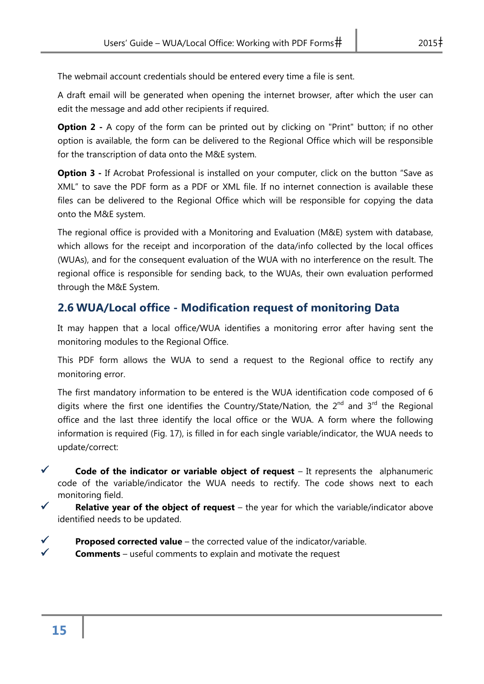The webmail account credentials should be entered every time a file is sent.

A draft email will be generated when opening the internet browser, after which the user can edit the message and add other recipients if required.

**Option 2** - A copy of the form can be printed out by clicking on "Print" button; if no other option is available, the form can be delivered to the Regional Office which will be responsible for the transcription of data onto the M&E system.

**Option 3** - If Acrobat Professional is installed on your computer, click on the button "Save as XML" to save the PDF form as a PDF or XML file. If no internet connection is available these files can be delivered to the Regional Office which will be responsible for copying the data onto the M&E system.

The regional office is provided with a Monitoring and Evaluation (M&E) system with database, which allows for the receipt and incorporation of the data/info collected by the local offices (WUAs), and for the consequent evaluation of the WUA with no interference on the result. The regional office is responsible for sending back, to the WUAs, their own evaluation performed through the M&E System.

#### **2.6 WUA/Local office - Modification request of monitoring Data**

It may happen that a local office/WUA identifies a monitoring error after having sent the monitoring modules to the Regional Office.

This PDF form allows the WUA to send a request to the Regional office to rectify any monitoring error.

The first mandatory information to be entered is the WUA identification code composed of 6 digits where the first one identifies the Country/State/Nation, the  $2^{nd}$  and  $3^{rd}$  the Regional office and the last three identify the local office or the WUA. A form where the following information is required (Fig. 17), is filled in for each single variable/indicator, the WUA needs to update/correct:

 **Code of the indicator or variable object of request** – It represents the alphanumeric code of the variable/indicator the WUA needs to rectify. The code shows next to each monitoring field.

- **Relative year of the object of request** the year for which the variable/indicator above identified needs to be updated.
- **Proposed corrected value** the corrected value of the indicator/variable. **Comments** – useful comments to explain and motivate the request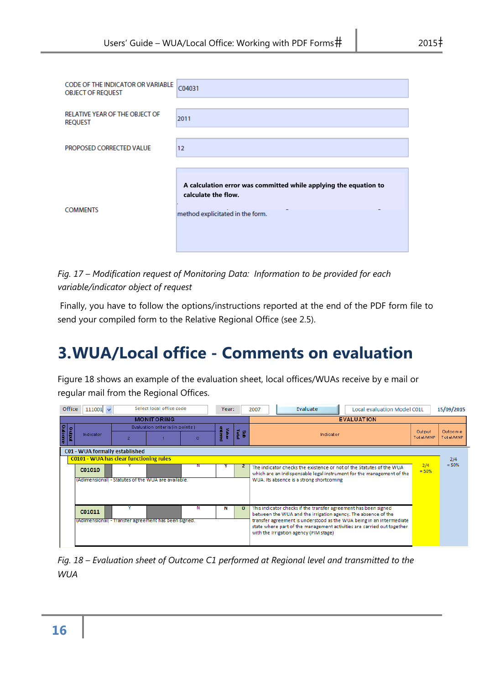| <b>CODE OF THE INDICATOR OR VARIABLE</b><br><b>OBJECT OF REQUEST</b> | C04031                                                                                                                      |
|----------------------------------------------------------------------|-----------------------------------------------------------------------------------------------------------------------------|
| RELATIVE YEAR OF THE OBJECT OF<br><b>REQUEST</b>                     | 2011                                                                                                                        |
| PROPOSED CORRECTED VALUE                                             | 12                                                                                                                          |
| <b>COMMENTS</b>                                                      | A calculation error was committed while applying the equation to<br>calculate the flow.<br>method explicitated in the form. |

*Fig. 17 – Modification request of Monitoring Data: Information to be provided for each variable/indicator object of request* 

 Finally, you have to follow the options/instructions reported at the end of the PDF form file to send your compiled form to the Relative Regional Office (see 2.5).

# **3.WUA/Local office - Comments on evaluation**

Figure 18 shows an example of the evaluation sheet, local offices/WUAs receive by e mail or regular mail from the Regional Offices.

| Office           | $111001 \times$                                      |                | Select local office code         |   | Year:            |                  | Evaluate<br>Local evaluation Model C01L<br>2007                                                                                                                                          |                | 15/09/2015 |
|------------------|------------------------------------------------------|----------------|----------------------------------|---|------------------|------------------|------------------------------------------------------------------------------------------------------------------------------------------------------------------------------------------|----------------|------------|
|                  |                                                      |                | <b>MONITORING</b>                |   |                  |                  | <b>EVALUATION</b>                                                                                                                                                                        |                |            |
|                  |                                                      |                | Evaluation criteria (in points). |   |                  |                  |                                                                                                                                                                                          | Output         | Outcome    |
| Outcame<br>o din | Indicator                                            | $\overline{2}$ |                                  | Ω | ertered<br>anjey | <b>Ista</b><br>g | Indicator                                                                                                                                                                                | Total/MNP      | Total/MNP  |
|                  | C01 - WUA formally established                       |                |                                  |   |                  |                  |                                                                                                                                                                                          |                |            |
|                  | <b>C0101 - WUA has clear functioning rules</b>       |                |                                  |   |                  |                  |                                                                                                                                                                                          |                | 2/4        |
|                  | C01010                                               |                |                                  |   |                  |                  | The indicator checks the existence or not of the Statutes of the WUA<br>which are an indispensable legal instrument for the management of the                                            | 2/4<br>$= 50%$ | $= 50%$    |
|                  | (Adimensional) - Statutes of the WUA are available.  |                |                                  |   |                  |                  | WUA. Its absence is a strong shortcoming                                                                                                                                                 |                |            |
|                  | C01011                                               |                |                                  | Ν | Ν                | 0                | This indicator checks if the transfer agreement has been signed<br>between the WUA and the irrigation agency. The absence of the                                                         |                |            |
|                  | (Adimensional) - Transfer agreement has been signed. |                |                                  |   |                  |                  | transfer agreement is understood as the WUA being in an intermediate<br>state where part of the management activities are carried out together<br>with the Irrigation agency (PIM stage) |                |            |

*Fig. 18 – Evaluation sheet of Outcome C1 performed at Regional level and transmitted to the WUA*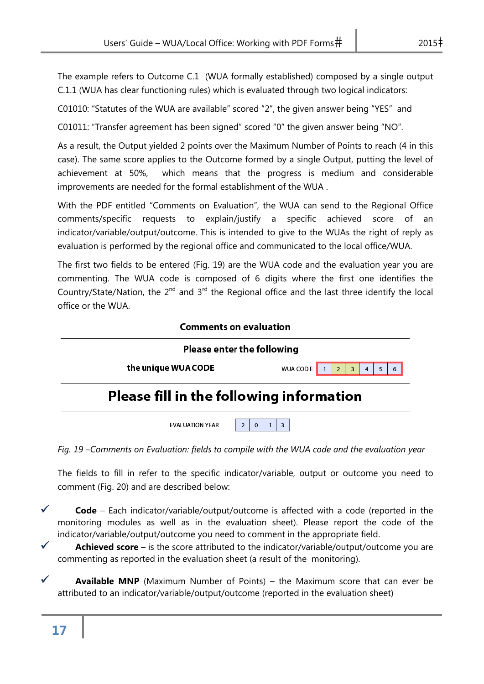The example refers to Outcome C.1 (WUA formally established) composed by a single output C.1.1 (WUA has clear functioning rules) which is evaluated through two logical indicators:

C01010: "Statutes of the WUA are available" scored "2", the given answer being "YES" and

C01011: "Transfer agreement has been signed" scored "0" the given answer being "NO".

As a result, the Output yielded 2 points over the Maximum Number of Points to reach (4 in this case). The same score applies to the Outcome formed by a single Output, putting the level of achievement at 50%, which means that the progress is medium and considerable improvements are needed for the formal establishment of the WUA .

With the PDF entitled "Comments on Evaluation", the WUA can send to the Regional Office comments/specific requests to explain/justify a specific achieved score of an indicator/variable/output/outcome. This is intended to give to the WUAs the right of reply as evaluation is performed by the regional office and communicated to the local office/WUA.

The first two fields to be entered (Fig. 19) are the WUA code and the evaluation year you are commenting. The WUA code is composed of 6 digits where the first one identifies the Country/State/Nation, the  $2^{nd}$  and  $3^{rd}$  the Regional office and the last three identify the local office or the WUA.

#### **Comments on evaluation**

| <b>Please enter the following</b>               |                      |  |  |  |
|-------------------------------------------------|----------------------|--|--|--|
| the unique WUA CODE                             | WUA CODE 1 2 3 4 5 6 |  |  |  |
| <b>Please fill in the following information</b> |                      |  |  |  |

*Fig. 19 –Comments on Evaluation: fields to compile with the WUA code and the evaluation year* 

 $2$  $\mathbf{0}$ 

**FVALUATION YEAR** 

 $1 \mid 3$ 

The fields to fill in refer to the specific indicator/variable, output or outcome you need to comment (Fig. 20) and are described below:



 **Achieved score** – is the score attributed to the indicator/variable/output/outcome you are commenting as reported in the evaluation sheet (a result of the monitoring).

**Available MNP** (Maximum Number of Points) – the Maximum score that can ever be attributed to an indicator/variable/output/outcome (reported in the evaluation sheet)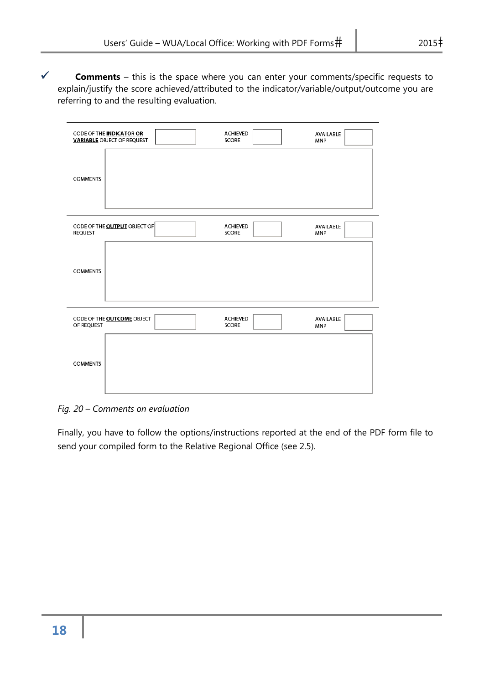| <b>CODE OF THE INDICATOR OR</b>     | <b>ACHIEVED</b> | <b>AVAILABLE</b> |
|-------------------------------------|-----------------|------------------|
| <b>VARIABLE OBJECT OF REQUEST</b>   | <b>SCORE</b>    | MNP              |
| <b>COMMENTS</b>                     |                 |                  |
| CODE OF THE <b>OUTPUT</b> OBJECT OF | <b>ACHIEVED</b> | <b>AVAILABLE</b> |
| <b>REQUEST</b>                      | <b>SCORE</b>    | MNP              |
| <b>COMMENTS</b>                     |                 |                  |
| CODE OF THE <b>OUTCOME</b> OBJECT   | <b>ACHIEVED</b> | <b>AVAILABLE</b> |
| OF REQUEST                          | <b>SCORE</b>    | <b>MNP</b>       |
| <b>COMMENTS</b>                     |                 |                  |

*Fig. 20 – Comments on evaluation* 

Finally, you have to follow the options/instructions reported at the end of the PDF form file to send your compiled form to the Relative Regional Office (see 2.5).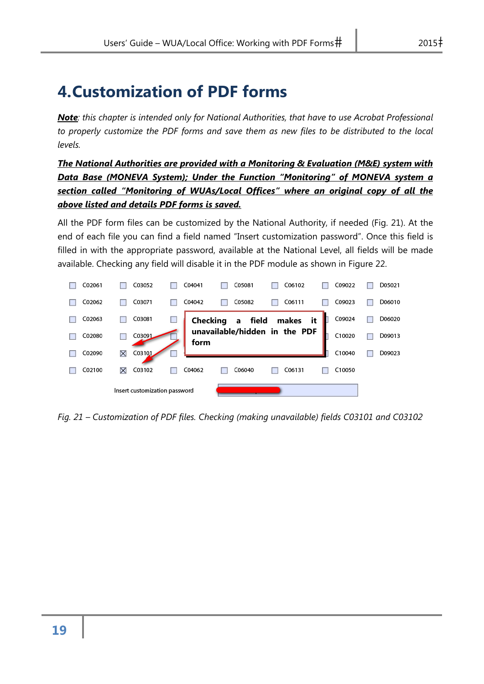# **4.Customization of PDF forms**

*Note: this chapter is intended only for National Authorities, that have to use Acrobat Professional to properly customize the PDF forms and save them as new files to be distributed to the local levels.* 

*The National Authorities are provided with a Monitoring & Evaluation (M&E) system with Data Base (MONEVA System); Under the Function "Monitoring" of MONEVA system a section called "Monitoring of WUAs/Local Offices" where an original copy of all the above listed and details PDF forms is saved.* 

All the PDF form files can be customized by the National Authority, if needed (Fig. 21). At the end of each file you can find a field named "Insert customization password". Once this field is filled in with the appropriate password, available at the National Level, all fields will be made available. Checking any field will disable it in the PDF module as shown in Figure 22.



*Fig. 21 – Customization of PDF files. Checking (making unavailable) fields C03101 and C03102*